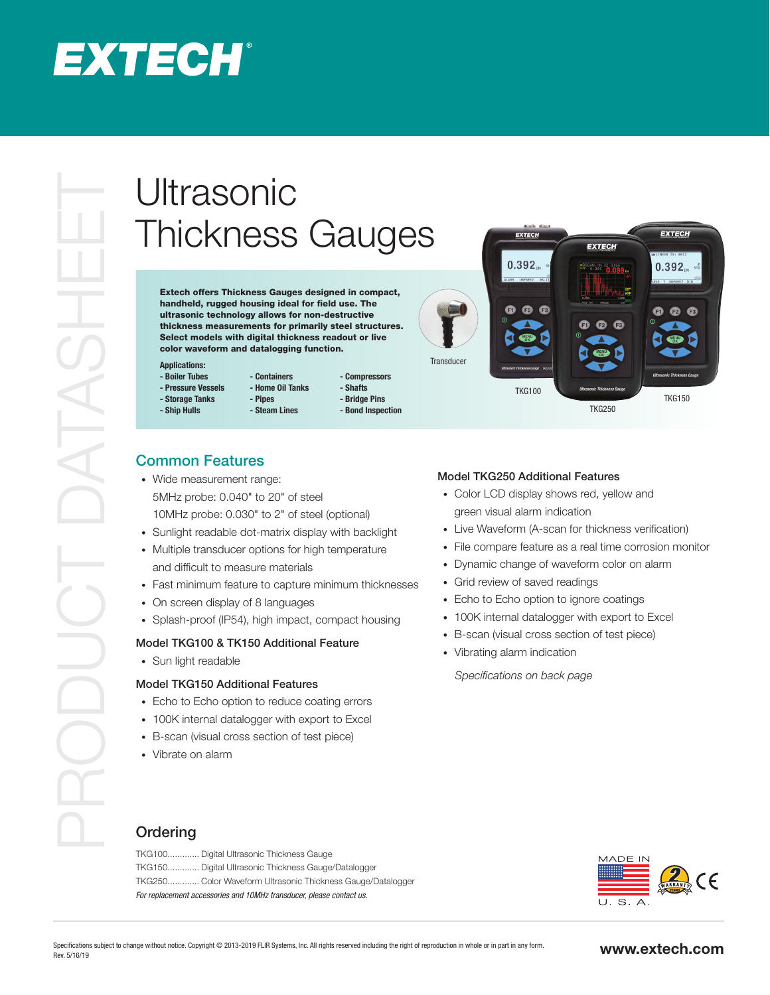## **EXTECH®**

# Thickness Gauges

Extech offers Thickness Gauges designed in compact, handheld, rugged housing ideal for field use. The ultrasonic technology allows for non-destructive thickness measurements for primarily steel structures. Select models with digital thickness readout or live color waveform and datalogging function.

**- Steam Lines**

#### **Applications:**

- **Boiler Tubes - Pressure Vessels**
- **Storage Tanks**
- **Ship Hulls**
- **Containers - Home Oil Tanks - Pipes - Compressors**
	- **Shafts - Bridge Pins**
	- **Bond Inspection**



### Common Features

- Wide measurement range: 5MHz probe: 0.040" to 20" of steel 10MHz probe: 0.030" to 2" of steel (optional)
- Sunlight readable dot-matrix display with backlight
- Multiple transducer options for high temperature and difficult to measure materials
- Fast minimum feature to capture minimum thicknesses
- On screen display of 8 languages
- Splash-proof (IP54), high impact, compact housing

#### Model TKG100 & TK150 Additional Feature

• Sun light readable

#### Model TKG150 Additional Features

- Echo to Echo option to reduce coating errors
- 100K internal datalogger with export to Excel
- B-scan (visual cross section of test piece)
- Vibrate on alarm

#### Model TKG250 Additional Features

- Color LCD display shows red, yellow and green visual alarm indication
- Live Waveform (A-scan for thickness verification)
- File compare feature as a real time corrosion monitor
- Dynamic change of waveform color on alarm
- Grid review of saved readings
- Echo to Echo option to ignore coatings
- 100K internal datalogger with export to Excel
- B-scan (visual cross section of test piece)
- Vibrating alarm indication

*Specifications on back page*

#### **Ordering**

TKG100............. Digital Ultrasonic Thickness Gauge TKG150............. Digital Ultrasonic Thickness Gauge/Datalogger TKG250............. Color Waveform Ultrasonic Thickness Gauge/Datalogger *For replacement accessories and 10MHz transducer, please contact us.*